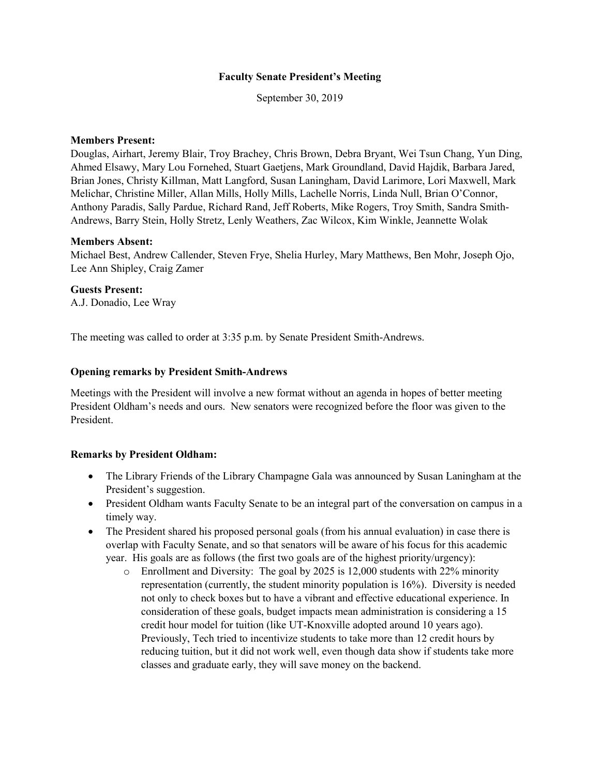#### **Faculty Senate President's Meeting**

September 30, 2019

### **Members Present:**

Douglas, Airhart, Jeremy Blair, Troy Brachey, Chris Brown, Debra Bryant, Wei Tsun Chang, Yun Ding, Ahmed Elsawy, Mary Lou Fornehed, Stuart Gaetjens, Mark Groundland, David Hajdik, Barbara Jared, Brian Jones, Christy Killman, Matt Langford, Susan Laningham, David Larimore, Lori Maxwell, Mark Melichar, Christine Miller, Allan Mills, Holly Mills, Lachelle Norris, Linda Null, Brian O'Connor, Anthony Paradis, Sally Pardue, Richard Rand, Jeff Roberts, Mike Rogers, Troy Smith, Sandra Smith-Andrews, Barry Stein, Holly Stretz, Lenly Weathers, Zac Wilcox, Kim Winkle, Jeannette Wolak

#### **Members Absent:**

Michael Best, Andrew Callender, Steven Frye, Shelia Hurley, Mary Matthews, Ben Mohr, Joseph Ojo, Lee Ann Shipley, Craig Zamer

## **Guests Present:**

A.J. Donadio, Lee Wray

The meeting was called to order at 3:35 p.m. by Senate President Smith-Andrews.

## **Opening remarks by President Smith-Andrews**

Meetings with the President will involve a new format without an agenda in hopes of better meeting President Oldham's needs and ours. New senators were recognized before the floor was given to the President.

# **Remarks by President Oldham:**

- The Library Friends of the Library Champagne Gala was announced by Susan Laningham at the President's suggestion.
- President Oldham wants Faculty Senate to be an integral part of the conversation on campus in a timely way.
- The President shared his proposed personal goals (from his annual evaluation) in case there is overlap with Faculty Senate, and so that senators will be aware of his focus for this academic year. His goals are as follows (the first two goals are of the highest priority/urgency):
	- o Enrollment and Diversity: The goal by 2025 is 12,000 students with 22% minority representation (currently, the student minority population is 16%). Diversity is needed not only to check boxes but to have a vibrant and effective educational experience. In consideration of these goals, budget impacts mean administration is considering a 15 credit hour model for tuition (like UT-Knoxville adopted around 10 years ago). Previously, Tech tried to incentivize students to take more than 12 credit hours by reducing tuition, but it did not work well, even though data show if students take more classes and graduate early, they will save money on the backend.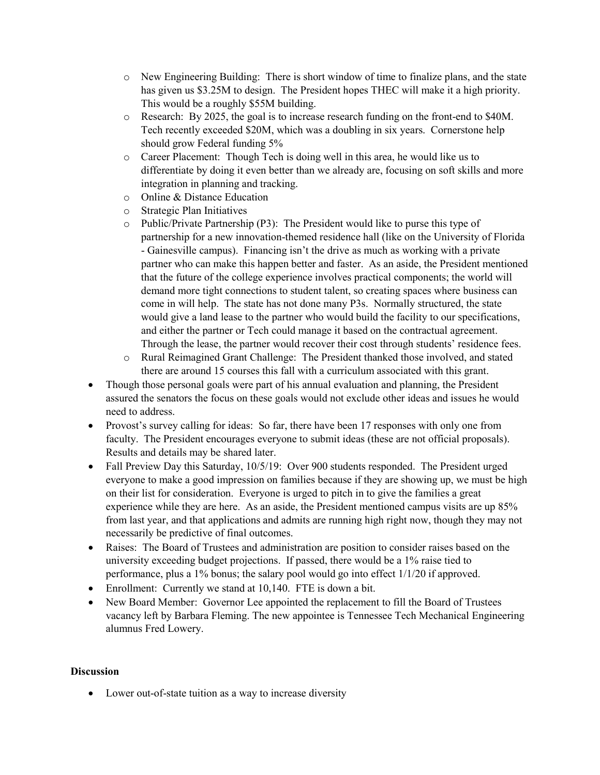- o New Engineering Building: There is short window of time to finalize plans, and the state has given us \$3.25M to design. The President hopes THEC will make it a high priority. This would be a roughly \$55M building.
- o Research: By 2025, the goal is to increase research funding on the front-end to \$40M. Tech recently exceeded \$20M, which was a doubling in six years. Cornerstone help should grow Federal funding 5%
- o Career Placement: Though Tech is doing well in this area, he would like us to differentiate by doing it even better than we already are, focusing on soft skills and more integration in planning and tracking.
- o Online & Distance Education
- o Strategic Plan Initiatives
- o Public/Private Partnership (P3): The President would like to purse this type of partnership for a new innovation-themed residence hall (like on the University of Florida - Gainesville campus). Financing isn't the drive as much as working with a private partner who can make this happen better and faster. As an aside, the President mentioned that the future of the college experience involves practical components; the world will demand more tight connections to student talent, so creating spaces where business can come in will help. The state has not done many P3s. Normally structured, the state would give a land lease to the partner who would build the facility to our specifications, and either the partner or Tech could manage it based on the contractual agreement. Through the lease, the partner would recover their cost through students' residence fees.
- o Rural Reimagined Grant Challenge: The President thanked those involved, and stated there are around 15 courses this fall with a curriculum associated with this grant.
- Though those personal goals were part of his annual evaluation and planning, the President assured the senators the focus on these goals would not exclude other ideas and issues he would need to address.
- Provost's survey calling for ideas: So far, there have been 17 responses with only one from faculty. The President encourages everyone to submit ideas (these are not official proposals). Results and details may be shared later.
- Fall Preview Day this Saturday, 10/5/19: Over 900 students responded. The President urged everyone to make a good impression on families because if they are showing up, we must be high on their list for consideration. Everyone is urged to pitch in to give the families a great experience while they are here. As an aside, the President mentioned campus visits are up 85% from last year, and that applications and admits are running high right now, though they may not necessarily be predictive of final outcomes.
- Raises: The Board of Trustees and administration are position to consider raises based on the university exceeding budget projections. If passed, there would be a 1% raise tied to performance, plus a 1% bonus; the salary pool would go into effect 1/1/20 if approved.
- Enrollment: Currently we stand at 10,140. FTE is down a bit.
- New Board Member: Governor Lee appointed the replacement to fill the Board of Trustees vacancy left by Barbara Fleming. The new appointee is Tennessee Tech Mechanical Engineering alumnus Fred Lowery.

# **Discussion**

• Lower out-of-state tuition as a way to increase diversity